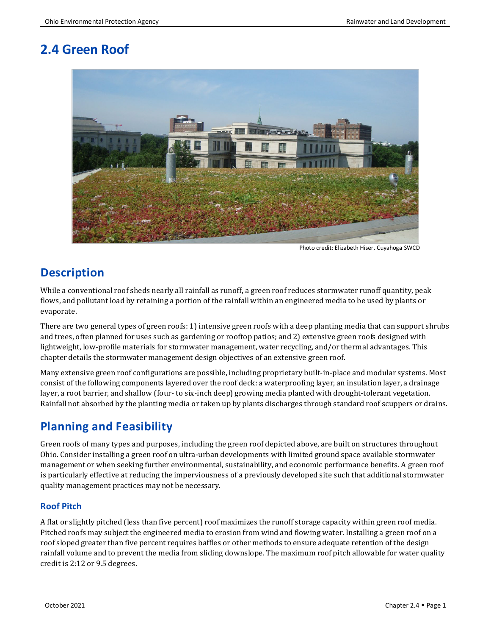# **2.4 Green Roof**



Photo credit: Elizabeth Hiser, Cuyahoga SWCD

# **Description**

While a conventional roof sheds nearly all rainfall as runoff, a green roof reduces stormwater runoff quantity, peak flows, and pollutant load by retaining a portion of the rainfall within an engineered media to be used by plants or evaporate.

There are two general types of green roofs: 1) intensive green roofs with a deep planting media that can support shrubs and trees, often planned for uses such as gardening or rooftop patios; and 2) extensive green roofs designed with lightweight, low-profile materials for stormwater management, water recycling, and/or thermal advantages. This chapter details the stormwater management design objectives of an extensive green roof.

Many extensive green roof configurations are possible, including proprietary built-in-place and modular systems. Most consist of the following components layered over the roof deck: a waterproofing layer, an insulation layer, a drainage layer, a root barrier, and shallow (four- to six-inch deep) growing media planted with drought-tolerant vegetation. Rainfall not absorbed by the planting media or taken up by plants discharges through standard roof scuppers or drains.

# **Planning and Feasibility**

Green roofs of many types and purposes, including the green roof depicted above, are built on structures throughout Ohio. Consider installing a green roof on ultra-urban developments with limited ground space available stormwater management or when seeking further environmental, sustainability, and economic performance benefits. A green roof is particularly effective at reducing the imperviousness of a previously developed site such that additional stormwater quality management practices may not be necessary.

### **Roof Pitch**

A flat or slightly pitched (less than five percent) roof maximizes the runoff storage capacity within green roof media. Pitched roofs may subject the engineered media to erosion from wind and flowing water. Installing a green roof on a roof sloped greater than five percent requires baffles or other methods to ensure adequate retention of the design rainfall volume and to prevent the media from sliding downslope. The maximum roof pitch allowable for water quality credit is 2:12 or 9.5 degrees.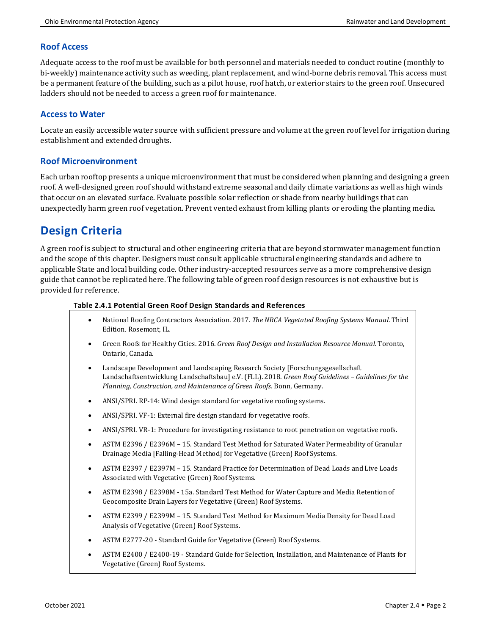#### **Roof Access**

Adequate access to the roof must be available for both personnel and materials needed to conduct routine (monthly to bi-weekly) maintenance activity such as weeding, plant replacement, and wind-borne debris removal. This access must be a permanent feature of the building, such as a pilot house, roof hatch, or exterior stairs to the green roof. Unsecured ladders should not be needed to access a green roof for maintenance.

#### **Access to Water**

Locate an easily accessible water source with sufficient pressure and volume at the green roof level for irrigation during establishment and extended droughts.

#### **Roof Microenvironment**

Each urban rooftop presents a unique microenvironment that must be considered when planning and designing a green roof. A well-designed green roof should withstand extreme seasonal and daily climate variations as well as high winds that occur on an elevated surface. Evaluate possible solar reflection or shade from nearby buildings that can unexpectedly harm green roof vegetation. Prevent vented exhaust from killing plants or eroding the planting media.

## **Design Criteria**

A green roof is subject to structural and other engineering criteria that are beyond stormwater management function and the scope of this chapter. Designers must consult applicable structural engineering standards and adhere to applicable State and local building code. Other industry-accepted resources serve as a more comprehensive design guide that cannot be replicated here. The following table of green roof design resources is not exhaustive but is provided for reference.

#### **Table 2.4.1 Potential Green Roof Design Standards and References**

- National Roofing Contractors Association. 2017. *The NRCA Vegetated Roofing Systems Manual*. Third Edition. Rosemont, IL.
- Green Roofs for Healthy Cities. 2016. *Green Roof Design and Installation Resource Manual*. Toronto, Ontario, Canada.
- Landscape Development and Landscaping Research Society [Forschungsgesellschaft Landschaftsentwicklung Landschaftsbau] e.V. (FLL). 2018. *Green Roof Guidelines – Guidelines for the Planning, Construction, and Maintenance of Green Roofs*. Bonn, Germany.
- ANSI/SPRI. RP-14: Wind design standard for vegetative roofing systems.
- ANSI/SPRI. VF-1: External fire design standard for vegetative roofs.
- ANSI/SPRI. VR-1: Procedure for investigating resistance to root penetration on vegetative roofs.
- ASTM E2396 / E2396M 15. Standard Test Method for Saturated Water Permeability of Granular Drainage Media [Falling-Head Method] for Vegetative (Green) Roof Systems.
- ASTM E2397 / E2397M 15. Standard Practice for Determination of Dead Loads and Live Loads Associated with Vegetative (Green) Roof Systems.
- ASTM E2398 / E2398M 15a. Standard Test Method for Water Capture and Media Retention of Geocomposite Drain Layers for Vegetative (Green) Roof Systems.
- ASTM E2399 / E2399M 15. Standard Test Method for Maximum Media Density for Dead Load Analysis of Vegetative (Green) Roof Systems.
- ASTM E2777-20 Standard Guide for Vegetative (Green) Roof Systems.
- ASTM E2400 / E2400-19 Standard Guide for Selection, Installation, and Maintenance of Plants for Vegetative (Green) Roof Systems.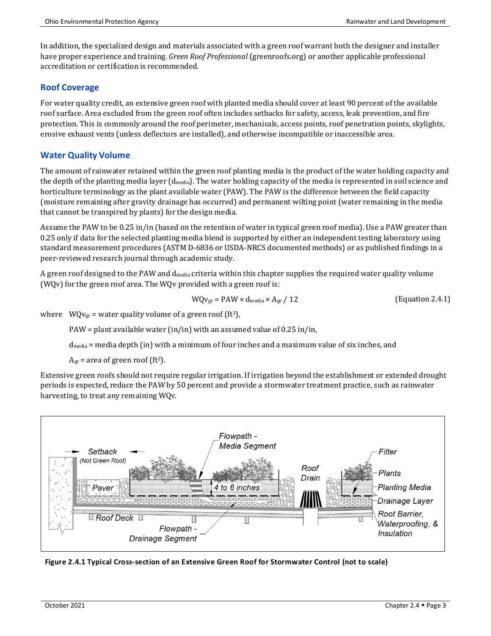In addition, the specialized design and materials associated with a green roof warrant both the designer and installer have proper experience and training. *Green Roof Professional*(greenroofs.org) or another applicable professional accreditation or certification is recommended.

#### **Roof Coverage**

For water quality credit, an extensive green roof with planted media should cover at least 90 percent of the available roof surface. Area excluded from the green roof often includes setbacks for safety, access, leak prevention, and fire protection. This is commonly around the roof perimeter, mechanicals, access points, roof penetration points, skylights, erosive exhaust vents (unless deflectors are installed), and otherwise incompatible or inaccessible area.

#### **Water Quality Volume**

The amount of rainwater retained within the green roof planting media is the product of the water holding capacity and the depth of the planting media layer (dmedia). The water holding capacity of the media is represented in soil science and horticulture terminology as the plant available water (PAW). The PAW is the difference between the field capacity (moisture remaining after gravity drainage has occurred) and permanent wilting point (water remaining in the media that cannot be transpired by plants) for the design media.

Assume the PAW to be 0.25 in/in (based on the retention of water in typical green roof media). Use a PAW greater than 0.25 only if data for the selected planting media blend is supported by either an independent testing laboratory using standard measurement procedures (ASTM D-6836 or USDA-NRCS documented methods) or as published findings in a peer-reviewed research journal through academic study.

A green roof designed to the PAW and  $d_{\text{median}}$  criteria within this chapter supplies the required water quality volume (WQv) for the green roof area. The WQv provided with a green roof is:

$$
WQv_{gr} = PAW \times d_{\text{median}} \times A_{gr} / 12
$$
 (Equation 2.4.1)

where  $WQv_{gr}$  = water quality volume of a green roof (ft<sup>3</sup>),

PAW = plant available water (in/in) with an assumed value of 0.25 in/in,

dmedia = media depth (in) with a minimum of four inches and a maximum value of six inches, and

 $A_{gr}$  = area of green roof (ft<sup>2</sup>).

Extensive green roofs should not require regular irrigation. If irrigation beyond the establishment or extended drought periods is expected, reduce the PAW by 50 percent and provide a stormwater treatment practice, such as rainwater harvesting, to treat any remaining WQv.



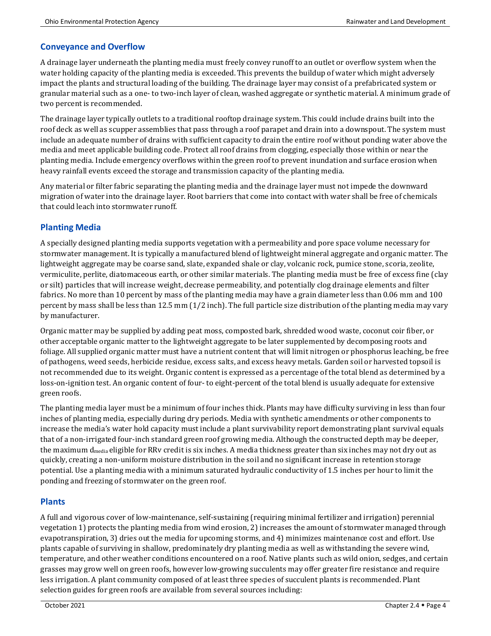### **Conveyance and Overflow**

A drainage layer underneath the planting media must freely convey runoff to an outlet or overflow system when the water holding capacity of the planting media is exceeded. This prevents the buildup of water which might adversely impact the plants and structural loading of the building. The drainage layer may consist of a prefabricated system or granular material such as a one- to two-inch layer of clean, washed aggregate or synthetic material. A minimum grade of two percent is recommended.

The drainage layer typically outlets to a traditional rooftop drainage system. This could include drains built into the roof deck as well as scupper assemblies that pass through a roof parapet and drain into a downspout. The system must include an adequate number of drains with sufficient capacity to drain the entire roof without ponding water above the media and meet applicable building code. Protect all roof drains from clogging, especially those within or near the planting media. Include emergency overflows within the green roof to prevent inundation and surface erosion when heavy rainfall events exceed the storage and transmission capacity of the planting media.

Any material or filter fabric separating the planting media and the drainage layer must not impede the downward migration of water into the drainage layer. Root barriers that come into contact with water shall be free of chemicals that could leach into stormwater runoff.

### **Planting Media**

A specially designed planting media supports vegetation with a permeability and pore space volume necessary for stormwater management. It is typically a manufactured blend of lightweight mineral aggregate and organic matter. The lightweight aggregate may be coarse sand, slate, expanded shale or clay, volcanic rock, pumice stone, scoria, zeolite, vermiculite, perlite, diatomaceous earth, or other similar materials. The planting media must be free of excess fine (clay or silt) particles that will increase weight, decrease permeability, and potentially clog drainage elements and filter fabrics. No more than 10 percent by mass of the planting media may have a grain diameter less than 0.06 mm and 100 percent by mass shall be less than 12.5 mm (1/2 inch). The full particle size distribution of the planting media may vary by manufacturer.

Organic matter may be supplied by adding peat moss, composted bark, shredded wood waste, coconut coir fiber, or other acceptable organic matter to the lightweight aggregate to be later supplemented by decomposing roots and foliage. All supplied organic matter must have a nutrient content that will limit nitrogen or phosphorus leaching, be free of pathogens, weed seeds, herbicide residue, excess salts, and excess heavy metals. Garden soil or harvested topsoil is not recommended due to its weight. Organic content is expressed as a percentage of the total blend as determined by a loss-on-ignition test. An organic content of four- to eight-percent of the total blend is usually adequate for extensive green roofs.

The planting media layer must be a minimum of four inches thick. Plants may have difficulty surviving in less than four inches of planting media, especially during dry periods. Media with synthetic amendments or other components to increase the media's water hold capacity must include a plant survivability report demonstrating plant survival equals that of a non-irrigated four-inch standard green roof growing media. Although the constructed depth may be deeper, the maximum d<sub>media</sub> eligible for RRv credit is six inches. A media thickness greater than six inches may not dry out as quickly, creating a non-uniform moisture distribution in the soil and no significant increase in retention storage potential. Use a planting media with a minimum saturated hydraulic conductivity of 1.5 inches per hour to limit the ponding and freezing of stormwater on the green roof.

### **Plants**

A full and vigorous cover of low-maintenance, self-sustaining (requiring minimal fertilizer and irrigation) perennial vegetation 1) protects the planting media from wind erosion, 2) increases the amount of stormwater managed through evapotranspiration, 3) dries out the media for upcoming storms, and 4) minimizes maintenance cost and effort. Use plants capable of surviving in shallow, predominately dry planting media as well as withstanding the severe wind, temperature, and other weather conditions encountered on a roof. Native plants such as wild onion, sedges, and certain grasses may grow well on green roofs, however low-growing succulents may offer greater fire resistance and require less irrigation. A plant community composed of at least three species of succulent plants is recommended. Plant selection guides for green roofs are available from several sources including: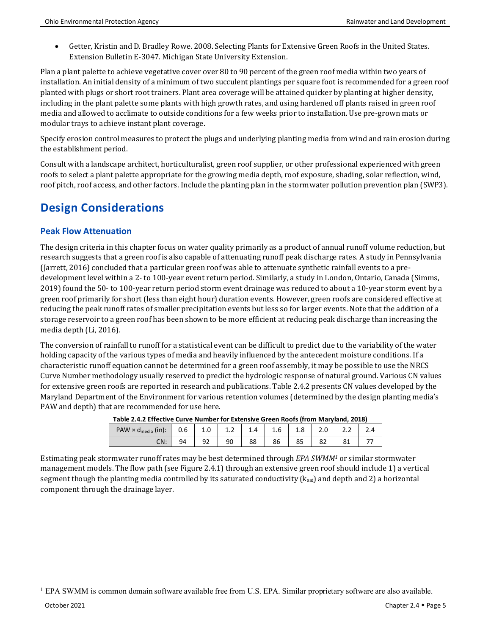• Getter, Kristin and D. Bradley Rowe. 2008. Selecting Plants for Extensive Green Roofs in the United States. Extension Bulletin E-3047. Michigan State University Extension.

Plan a plant palette to achieve vegetative cover over 80 to 90 percent of the green roof media within two years of installation. An initial density of a minimum of two succulent plantings per square foot is recommended for a green roof planted with plugs or short root trainers. Plant area coverage will be attained quicker by planting at higher density, including in the plant palette some plants with high growth rates, and using hardened off plants raised in green roof media and allowed to acclimate to outside conditions for a few weeks prior to installation. Use pre-grown mats or modular trays to achieve instant plant coverage.

Specify erosion control measures to protect the plugs and underlying planting media from wind and rain erosion during the establishment period.

Consult with a landscape architect, horticulturalist, green roof supplier, or other professional experienced with green roofs to select a plant palette appropriate for the growing media depth, roof exposure, shading, solar reflection, wind, roof pitch, roof access, and other factors. Include the planting plan in the stormwater pollution prevention plan (SWP3).

# **Design Considerations**

### **Peak Flow Attenuation**

The design criteria in this chapter focus on water quality primarily as a product of annual runoff volume reduction, but research suggests that a green roof is also capable of attenuating runoff peak discharge rates. A study in Pennsylvania (Jarrett, 2016) concluded that a particular green roof was able to attenuate synthetic rainfall events to a predevelopment level within a 2- to 100-year event return period. Similarly, a study in London, Ontario, Canada (Simms, 2019) found the 50- to 100-year return period storm event drainage was reduced to about a 10-year storm event by a green roof primarily for short (less than eight hour) duration events. However, green roofs are considered effective at reducing the peak runoff rates of smaller precipitation events but less so for larger events. Note that the addition of a storage reservoir to a green roof has been shown to be more efficient at reducing peak discharge than increasing the media depth (Li, 2016).

The conversion of rainfall to runoff for a statistical event can be difficult to predict due to the variability of the water holding capacity of the various types of media and heavily influenced by the antecedent moisture conditions. If a characteristic runoff equation cannot be determined for a green roof assembly, it may be possible to use the NRCS Curve Number methodology usually reserved to predict the hydrologic response of natural ground. Various CN values for extensive green roofs are reported in research and publications. Table 2.4.2 presents CN values developed by the Maryland Department of the Environment for various retention volumes (determined by the design planting media's PAW and depth) that are recommended for use here.

| Table 2.4.2 Effective Curve Number for Extensive Green Roofs (from Maryland, 2018) |     |     |    |     |     |     |     |  |  |
|------------------------------------------------------------------------------------|-----|-----|----|-----|-----|-----|-----|--|--|
| $PAW \times d_{\text{media}}$ (in):                                                | 0.6 | 1.0 |    | 1.4 | 1.6 | 1.8 | 2.0 |  |  |
| CN:                                                                                | 94  | 92  | 90 | 88  | 86  | 85  |     |  |  |

**Table 2.4.2 Effective Curve Number for Extensive Green Roofs (from Maryland, 2018)**

Estimating peak stormwater runoff rates may be best determined through *EPA SWMM[1](#page-4-0)* or similar stormwater management models. The flow path (see Figure 2.4.1) through an extensive green roof should include 1) a vertical segment though the planting media controlled by its saturated conductivity ( $k_{sat}$ ) and depth and 2) a horizontal component through the drainage layer.

<span id="page-4-0"></span><sup>1</sup> EPA SWMM is common domain software available free from U.S. EPA. Similar proprietary software are also available.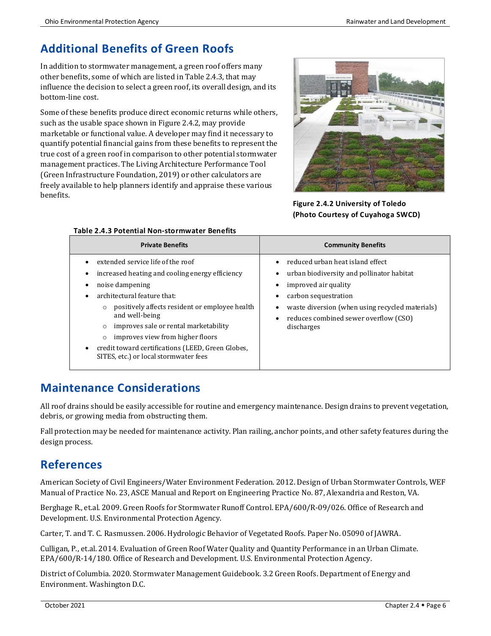# **Additional Benefits of Green Roofs**

In addition to stormwater management, a green roof offers many other benefits, some of which are listed in Table 2.4.3, that may influence the decision to select a green roof, its overall design, and its bottom-line cost.

Some of these benefits produce direct economic returns while others, such as the usable space shown in Figure 2.4.2, may provide marketable or functional value. A developer may find it necessary to quantify potential financial gains from these benefits to represent the true cost of a green roof in comparison to other potential stormwater management practices. The Living Architecture Performance Tool (Green Infrastructure Foundation, 2019) or other calculators are freely available to help planners identify and appraise these various benefits.



**Figure 2.4.2 University of Toledo (Photo Courtesy of Cuyahoga SWCD)**

| Table 2.4.3 PULEIILIAI NUIT-SLUTTIIWALEI DEITEIILS                                                                                                                                                                                                                                                                                                                                                                     |                                                                                                                                                                                                                                         |  |  |  |  |  |
|------------------------------------------------------------------------------------------------------------------------------------------------------------------------------------------------------------------------------------------------------------------------------------------------------------------------------------------------------------------------------------------------------------------------|-----------------------------------------------------------------------------------------------------------------------------------------------------------------------------------------------------------------------------------------|--|--|--|--|--|
| <b>Private Benefits</b>                                                                                                                                                                                                                                                                                                                                                                                                | <b>Community Benefits</b>                                                                                                                                                                                                               |  |  |  |  |  |
| extended service life of the roof<br>increased heating and cooling energy efficiency<br>noise dampening<br>architectural feature that:<br>positively affects resident or employee health<br>$\circ$<br>and well-being<br>improves sale or rental marketability<br>$\circ$<br>improves view from higher floors<br>$\circ$<br>credit toward certifications (LEED, Green Globes,<br>SITES, etc.) or local stormwater fees | reduced urban heat island effect<br>urban biodiversity and pollinator habitat<br>improved air quality<br>carbon sequestration<br>waste diversion (when using recycled materials)<br>reduces combined sewer overflow (CSO)<br>discharges |  |  |  |  |  |

#### **Table 2.4.3 Potential Non-stormwater Benefits**

## **Maintenance Considerations**

All roof drains should be easily accessible for routine and emergency maintenance. Design drains to prevent vegetation, debris, or growing media from obstructing them.

Fall protection may be needed for maintenance activity. Plan railing, anchor points, and other safety features during the design process.

## **References**

American Society of Civil Engineers/Water Environment Federation. 2012. Design of Urban Stormwater Controls, WEF Manual of Practice No. 23, ASCE Manual and Report on Engineering Practice No. 87, Alexandria and Reston, VA.

Berghage R., et.al. 2009. Green Roofs for Stormwater Runoff Control. EPA/600/R-09/026. Office of Research and Development. U.S. Environmental Protection Agency.

Carter, T. and T. C. Rasmussen. 2006. Hydrologic Behavior of Vegetated Roofs. Paper No. 05090 of JAWRA.

Culligan, P., et.al. 2014. Evaluation of Green Roof Water Quality and Quantity Performance in an Urban Climate. EPA/600/R-14/180. Office of Research and Development. U.S. Environmental Protection Agency.

District of Columbia. 2020. Stormwater Management Guidebook. 3.2 Green Roofs. Department of Energy and Environment. Washington D.C.